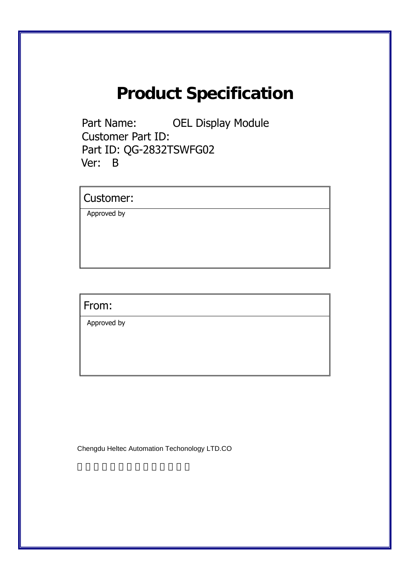# **Product Specification**

Part Name: OEL Display Module Customer Part ID: Part ID: QG-2832TSWFG02 Ver: B

Customer:

Approved by

From:

Approved by

Chengdu Heltec Automation Techonology LTD.CO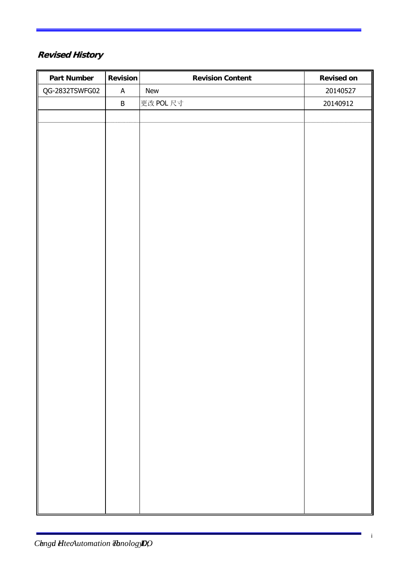# **Revised History**

| <b>Part Number</b> | <b>Revision</b>           | <b>Revision Content</b> | <b>Revised on</b> |
|--------------------|---------------------------|-------------------------|-------------------|
| QG-2832TSWFG02     | $\boldsymbol{\mathsf{A}}$ | New                     | 20140527          |
|                    | $\sf B$                   | 更改 POL 尺寸               | 20140912          |
|                    |                           |                         |                   |
|                    |                           |                         |                   |
|                    |                           |                         |                   |
|                    |                           |                         |                   |
|                    |                           |                         |                   |
|                    |                           |                         |                   |
|                    |                           |                         |                   |
|                    |                           |                         |                   |
|                    |                           |                         |                   |
|                    |                           |                         |                   |
|                    |                           |                         |                   |
|                    |                           |                         |                   |
|                    |                           |                         |                   |
|                    |                           |                         |                   |
|                    |                           |                         |                   |
|                    |                           |                         |                   |
|                    |                           |                         |                   |
|                    |                           |                         |                   |
|                    |                           |                         |                   |
|                    |                           |                         |                   |
|                    |                           |                         |                   |
|                    |                           |                         |                   |
|                    |                           |                         |                   |
|                    |                           |                         |                   |
|                    |                           |                         |                   |
|                    |                           |                         |                   |
|                    |                           |                         |                   |
|                    |                           |                         |                   |
|                    |                           |                         |                   |
|                    |                           |                         |                   |
|                    |                           |                         |                   |
|                    |                           |                         |                   |

×,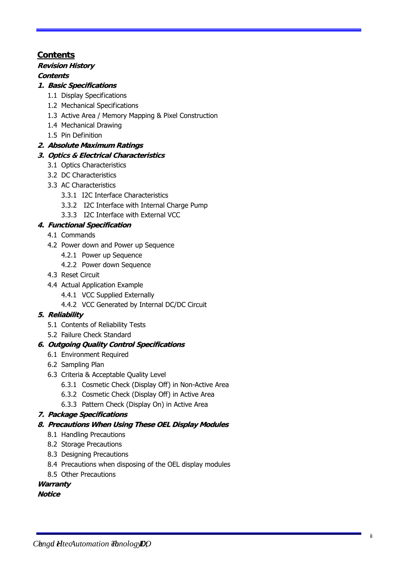# **C o n t e n t s**

# **R e v is io n H isto ry**

# **C o n te n ts**

# **1 . B a s ic Sp e cific a tio ns**

- 1.1 Display Specifications
- 1.2 Mechanical Specifications
- 1.3 Active Area / Memory Mapping & Pixel Construction
- 1.4 Mechanical Drawing
- 1.5 Pin Definition

# **2. A b s o lu te M a x im u m R a tin gs**

# **3. Optics & E le ctric a l C h a ra cte ristics**

- 3.1 Optics Characteristics
- 3.2 DC Characteristics
- 3.3 AC Characteristics
	- 3.3.1 I2C Interface Characteristics
	- 3.3.2 I2C Interface with Internal Charge Pump
	- 3.3.3 I2C Interface with External VCC

# **4. F u n ctio n a l Sp e cific a tion**

- 4.1 Commands
- 4.2 Power down and Power up Sequence
	- 4.2.1 Power up Sequence
	- 4.2.2 Power down Sequence
- 4.3 Reset Circuit
- 4.4 Actual Application Example
	- 4.4.1 VCC Supplied Externally
	- 4.4.2 VCC Generated by Internal DC/DC Circuit

# **5. R e lia b ility**

- 5.1 Contents of Reliability Tests
- 5.2 Failure Check Standard

# 6. Outgoing Quality Control Specifications

- 6.1 Environment Required
- 6.2 Sampling Plan
- 6.3 Criteria & Acceptable Quality Level
	- 6.3.1 Cosmetic Check (Display Off) in Non-Active Area
	- 6.3.2 Cosmetic Check (Display Off) in Active Area
	- 6.3.3 Pattern Check (Display On) in Active Area

# **7.** Package Specifications

- 8. Precautions When Using These OEL Display Modules
	- 8.1 Handling Precautions
	- 8.2 Storage Precautions
	- 8.3 Designing Precautions
	- 8.4 Precautions when disposing of the OEL display modules
	- 8.5 Other Precautions

# **W a rra n ty**

# **N o tice**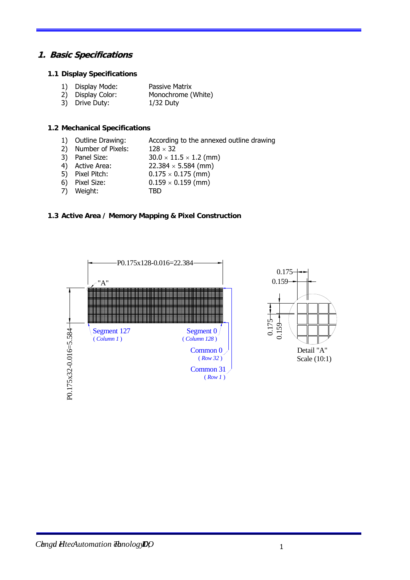# **1. Basic Specifications**

### **1.1 Display Specifications**

|    | 1) Display Mode: | <b>Passive Matrix</b> |
|----|------------------|-----------------------|
| -- |                  |                       |

- 2) Display Color: Monochrome (White)
- 3) Drive Duty: 1/32 Duty

# **1.2 Mechanical Specifications**

- 1) Outline Drawing: According to the annexed outline drawing
- 2) Number of Pixels:  $128 \times 32$
- 3) Panel Size:  $30.0 \times 11.5 \times 1.2$  (mm)
- 4) Active Area:  $22.384 \times 5.584$  (mm)
- 5) Pixel Pitch:  $0.175 \times 0.175$  (mm)
- 6) Pixel Size:  $0.159 \times 0.159$  (mm)
- 7) Weight: TBD
	-

# **1.3 Active Area / Memory Mapping & Pixel Construction**



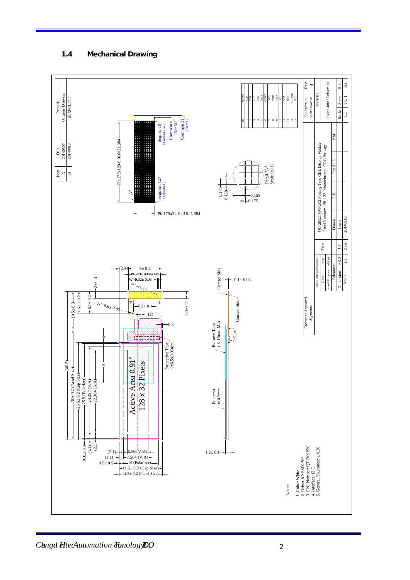# **1.4 Mechanical Drawing**

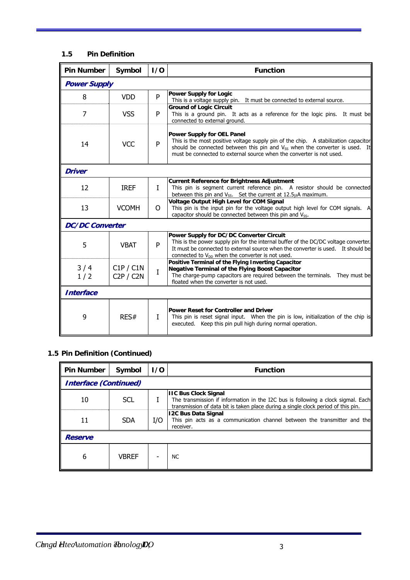# **1.5 Pin Definition**

| <b>Pin Number</b>      | Symbol                 | 1/0          | <b>Function</b>                                                                                                                                                                                                                                                                             |  |  |  |
|------------------------|------------------------|--------------|---------------------------------------------------------------------------------------------------------------------------------------------------------------------------------------------------------------------------------------------------------------------------------------------|--|--|--|
|                        | <b>Power Supply</b>    |              |                                                                                                                                                                                                                                                                                             |  |  |  |
| 8                      | <b>VDD</b>             | P            | <b>Power Supply for Logic</b><br>This is a voltage supply pin. It must be connected to external source.                                                                                                                                                                                     |  |  |  |
| 7                      | <b>VSS</b>             | P            | <b>Ground of Logic Circuit</b><br>This is a ground pin. It acts as a reference for the logic pins. It must be<br>connected to external ground.                                                                                                                                              |  |  |  |
| 14                     | <b>VCC</b>             | P            | <b>Power Supply for OEL Panel</b><br>This is the most positive voltage supply pin of the chip. A stabilization capacitor<br>should be connected between this pin and V <sub>SS</sub> when the converter is used. It<br>must be connected to external source when the converter is not used. |  |  |  |
| <b>Driver</b>          |                        |              |                                                                                                                                                                                                                                                                                             |  |  |  |
| 12                     | <b>IREF</b>            | $\mathbf{I}$ | <b>Current Reference for Brightness Adjustment</b><br>This pin is segment current reference pin. A resistor should be connected<br>between this pin and $V_{SS}$ . Set the current at 12.5 $\mu$ A maximum.                                                                                 |  |  |  |
| 13                     | <b>VCOMH</b>           | O            | <b>Voltage Output High Level for COM Signal</b><br>This pin is the input pin for the voltage output high level for COM signals. A<br>capacitor should be connected between this pin and V <sub>SS</sub> .                                                                                   |  |  |  |
| <b>DC/DC Converter</b> |                        |              |                                                                                                                                                                                                                                                                                             |  |  |  |
| 5                      | <b>VBAT</b>            | P            | Power Supply for DC/DC Converter Circuit<br>This is the power supply pin for the internal buffer of the DC/DC voltage converter.<br>It must be connected to external source when the converter is used. It should be<br>connected to $V_{DD}$ when the converter is not used.               |  |  |  |
| 3/4<br>1/2             | C1P / C1N<br>C2P / C2N | $\mathbf I$  | Positive Terminal of the Flying Inverting Capacitor<br><b>Negative Terminal of the Flying Boost Capacitor</b><br>The charge-pump capacitors are required between the terminals. They must be<br>floated when the converter is not used.                                                     |  |  |  |
| <b>Interface</b>       |                        |              |                                                                                                                                                                                                                                                                                             |  |  |  |
| 9                      | RES#                   | $\mathbf{I}$ | <b>Power Reset for Controller and Driver</b><br>This pin is reset signal input. When the pin is low, initialization of the chip is<br>executed. Keep this pin pull high during normal operation.                                                                                            |  |  |  |

# **1.5 Pin Definition (Continued)**

| <b>Pin Number</b>            | Symbol       | 1/0 | <b>Function</b>                                                                                                                                                                                      |
|------------------------------|--------------|-----|------------------------------------------------------------------------------------------------------------------------------------------------------------------------------------------------------|
| <b>Interface (Continued)</b> |              |     |                                                                                                                                                                                                      |
| 10                           | <b>SCL</b>   |     | <b>IIC Bus Clock Signal</b><br>The transmission if information in the I2C bus is following a clock sigmal. Each<br>transmission of data bit is taken place during a single clock period of this pin. |
| 11                           | <b>SDA</b>   | I/O | <b>12C Bus Data Signal</b><br>This pin acts as a communication channel between the transmitter and the<br>receiver.                                                                                  |
| <b>Reserve</b>               |              |     |                                                                                                                                                                                                      |
| 6                            | <b>VBREF</b> |     | NC.                                                                                                                                                                                                  |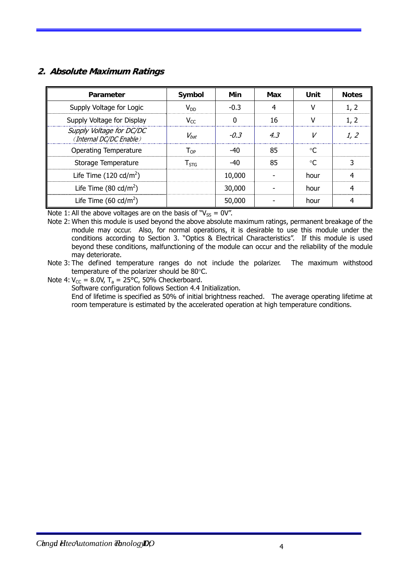# **2. Absolute Maximum Ratings**

| Parameter                                           | Symbol                      | Min      | Max | Unit            | <b>Notes</b> |
|-----------------------------------------------------|-----------------------------|----------|-----|-----------------|--------------|
| Supply Voltage for Logic                            | $V_{DD}$                    | $-0.3$   | 4   | ν               | 1, 2         |
| Supply Voltage for Display                          | $V_{CC}$                    | $\Omega$ | 16  | v               | 1, 2         |
| Supply Voltage for DC/DC<br>(Internal DC/DC Enable) | $V_{bat}$                   | $-0.3$   | 4.3 | V               | 1, 2         |
| <b>Operating Temperature</b>                        | $\mathsf{T}_{\mathsf{OP}}$  | $-40$    | 85  | $\circ$ C       |              |
| Storage Temperature                                 | $\mathsf{T}_{\mathsf{STG}}$ | $-40$    | 85  | $\rm ^{\circ}C$ | 3            |
| Life Time $(120 \text{ cd/m}^2)$                    |                             | 10,000   |     | hour            | 4            |
| Life Time $(80 \text{ cd/m}^2)$                     |                             | 30,000   |     | hour            | 4            |
| Life Time (60 cd/m <sup>2</sup> )                   |                             | 50,000   |     | hour            | 4            |

Note 1: All the above voltages are on the basis of " $V_{SS} = 0V$ ".

Note 2: When this module is used beyond the above absolute maximum ratings, permanent breakage of the module may occur. Also, for normal operations, it is desirable to use this module under the conditions according to Section 3. "Optics & Electrical Characteristics". If this module is used beyond these conditions, malfunctioning of the module can occur and the reliability of the module may deteriorate.

Note 3: The defined temperature ranges do not include the polarizer. The maximum withstood temperature of the polarizer should be 80°C.

Note 4:  $V_{CC}$  = 8.0V, T<sub>a</sub> = 25°C, 50% Checkerboard.

Software configuration follows Section 4.4 Initialization.

End of lifetime is specified as 50% of initial brightness reached. The average operating lifetime at room temperature is estimated by the accelerated operation at high temperature conditions.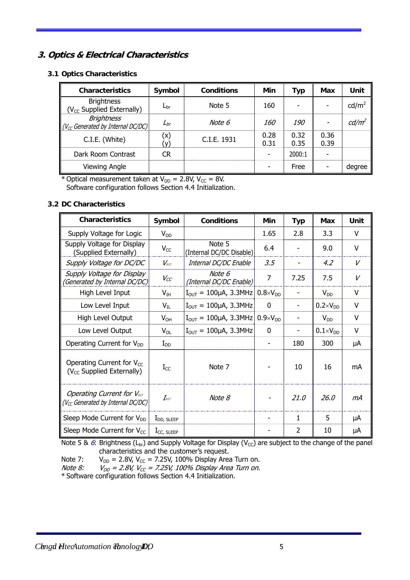# **3. Optics & Electrical Characteristics**

# **3.1 Optics Characteristics**

| <b>Characteristics</b>                                      | Symbol       | <b>Conditions</b> | Min          | Typ          | Max          | Unit              |
|-------------------------------------------------------------|--------------|-------------------|--------------|--------------|--------------|-------------------|
| <b>Brightness</b><br>(V <sub>CC</sub> Supplied Externally)  | $L_{\rm br}$ | Note 5            | 160          |              |              | cd/m <sup>2</sup> |
| <b>Brightness</b><br>$ V_{CC}$ Generated by Internal DC/DC) | $L_{br}$     | Note 6            | <i>160</i>   | 190          |              | cd/m <sup>2</sup> |
| C.I.E. (White)                                              | (x)          | C.I.E. 1931       | 0.28<br>0.31 | 0.32<br>0.35 | 0.36<br>0.39 |                   |
| Dark Room Contrast                                          | CR           |                   |              | 2000:1       |              |                   |
| <b>Viewing Angle</b>                                        |              |                   |              | Free         |              | degree            |

\* Optical measurement taken at  $V_{DD} = 2.8V$ ,  $V_{CC} = 8V$ . Software configuration follows Section 4.4 Initialization.

# **3.2 DC Characteristics**

| <b>Characteristics</b>                                                             | Symbol                               | <b>Conditions</b>                          | Min                 | <b>Typ</b>     | Max                 | Unit   |
|------------------------------------------------------------------------------------|--------------------------------------|--------------------------------------------|---------------------|----------------|---------------------|--------|
| Supply Voltage for Logic                                                           | $V_{DD}$                             |                                            | 1.65                | 2.8            | 3.3                 | V      |
| Supply Voltage for Display<br>(Supplied Externally)                                | $V_{CC}$                             | Note 5<br>(Internal DC/DC Disable)         | 6.4                 |                | 9.0                 | V      |
| Supply Voltage for DC/DC                                                           | $V_{\text{rat}}$                     | Internal DC/DC Enable                      | 3.5                 |                | 4.2                 | V      |
| Supply Voltage for Display<br>(Generated by Internal DC/DC)                        | $V_{CC}$                             | Note 6<br>(Internal DC/DC Enable)          | 7                   | 7.25           | 7.5                 | V      |
| High Level Input                                                                   | $V_{IH}$                             | $I_{OUT} = 100 \mu A$ , 3.3MHz             | $0.8 \times V_{DD}$ |                | $V_{DD}$            | $\vee$ |
| Low Level Input                                                                    | $V_{IL}$                             | $I_{\text{OUT}} = 100\mu\text{A}$ , 3.3MHz | $\Omega$            |                | $0.2 \times V_{DD}$ | V      |
| High Level Output                                                                  | $V_{OH}$                             | $I_{\text{OUT}} = 100 \mu A$ , 3.3MHz      | $0.9 \times V_{DD}$ |                | $V_{DD}$            | $\vee$ |
| Low Level Output                                                                   | $V_{OL}$                             | $I_{\text{OUT}} = 100\mu\text{A}$ , 3.3MHz | $\Omega$            |                | $0.1 \times V_{DD}$ | $\vee$ |
| Operating Current for $V_{DD}$                                                     | $I_{DD}$                             |                                            |                     | 180            | 300                 | μA     |
| Operating Current for $V_{CC}$<br>(V <sub>CC</sub> Supplied Externally)            | $I_{CC}$                             | Note 7                                     |                     | 10             | 16                  | mA     |
| <b>Operating Current for VBAT</b><br>(V <sub>cc</sub> Generated by Internal DC/DC) | $I_{\scriptscriptstyle\mathit{BAT}}$ | Note 8                                     |                     | 21.0           | 26.0                | mA     |
| Sleep Mode Current for V <sub>DD</sub>                                             | $I_{DD, SLEEP}$                      |                                            |                     | $\mathbf{1}$   | 5                   | μA     |
| Sleep Mode Current for $V_{CC}$                                                    | $I_{CC, SLEEP}$                      |                                            |                     | $\overline{2}$ | 10                  | μA     |

Note 5 & 6: Brightness (L<sub>br</sub>) and Supply Voltage for Display (V<sub>CC</sub>) are subject to the change of the panel characteristics and the customer's request.

Note 7:  $V_{DD} = 2.8V$ ,  $V_{CC} = 7.25V$ , 100% Display Area Turn on.

Note 8:  $V_{DD}$  = 2.8V, V $_{CC}$  = 7.25V, 100% Display Area Turn on.

\* Software configuration follows Section 4.4 Initialization.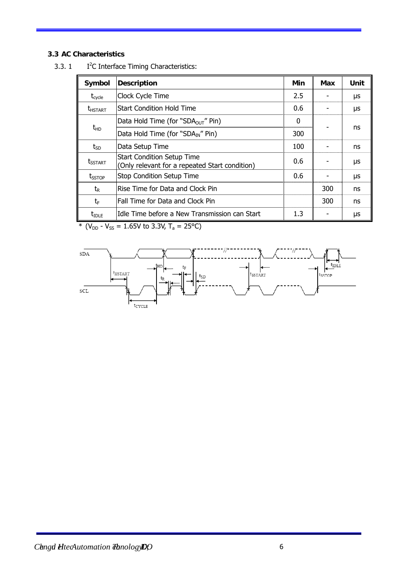# **3.3 AC Characteristics**

| Symbol                | <b>Description</b>                                                                  | Min | Max | Unit |
|-----------------------|-------------------------------------------------------------------------------------|-----|-----|------|
| $\tau_{\text{cycle}}$ | Clock Cycle Time                                                                    | 2.5 |     | μs   |
| <b><i>LHSTART</i></b> | Start Condition Hold Time                                                           | 0.6 |     | μs   |
|                       | Data Hold Time (for "SDA <sub>OUT</sub> " Pin)                                      | 0   |     |      |
| $t_{HD}$              | Data Hold Time (for "SDA <sub>IN</sub> " Pin)                                       | 300 |     | ns   |
| $t_{SD}$              | Data Setup Time                                                                     | 100 |     | ns   |
| <b>t</b> sstart       | <b>Start Condition Setup Time</b><br>(Only relevant for a repeated Start condition) | 0.6 |     | μs   |
| <b>t</b> sstop        | <b>Stop Condition Setup Time</b>                                                    | 0.6 |     | μs   |
| $t_{\sf R}$           | Rise Time for Data and Clock Pin                                                    |     | 300 | ns   |
| tF                    | Fall Time for Data and Clock Pin                                                    |     | 300 | ns   |
| $t_{\text{IDLE}}$     | Idle Time before a New Transmission can Start                                       | 1.3 |     | μs   |

 $3.3.1$ I<sup>2</sup>C Interface Timing Characteristics:

\* ( $V_{DD}$  -  $V_{SS}$  = 1.65V to 3.3V, T<sub>a</sub> = 25°C)

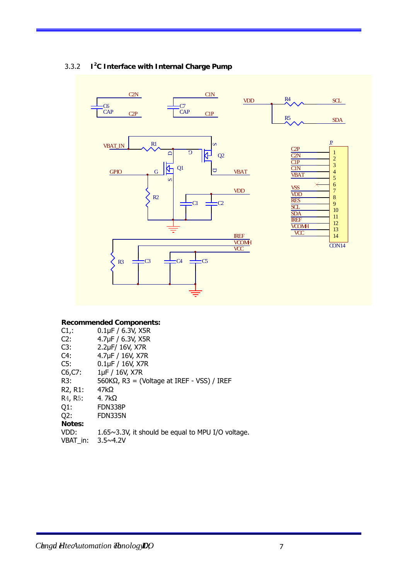

#### 3.3.2 **I<sup>2</sup> C Interface with Internal Charge Pump**

### **Recommended Components:**

| $C1$ .                            | $0.1\mu F / 6.3V$ , X5R                                   |
|-----------------------------------|-----------------------------------------------------------|
| C2:                               | 4.7µF / 6.3V, X5R                                         |
| C3:                               | 2.2µF/ 16V, X7R                                           |
| C4:                               | 4.7µF / 16V, X7R                                          |
| CS:                               | $0.1\,\text{µF}$ / $16\,\text{V}$ , X7R                   |
| $C6, C7$ :                        | 1µF / 16V, X7R                                            |
| R3:                               | $560K\Omega$ , R3 = (Voltage at IREF - VSS) / IREF        |
| R <sub>2</sub> , R <sub>1</sub> : | 47k $\Omega$                                              |
| R <sub>4</sub> , R <sub>5</sub> : | 4. $7k\Omega$                                             |
| $Q1$ :                            | FDN338P                                                   |
| Q2:                               | FDN335N                                                   |
| Notes:                            |                                                           |
| VDD:                              | $1.65 \sim 3.3$ V, it should be equal to MPU I/O voltage. |
| VBAT in:                          | $3.5 \times 4.2V$                                         |
|                                   |                                                           |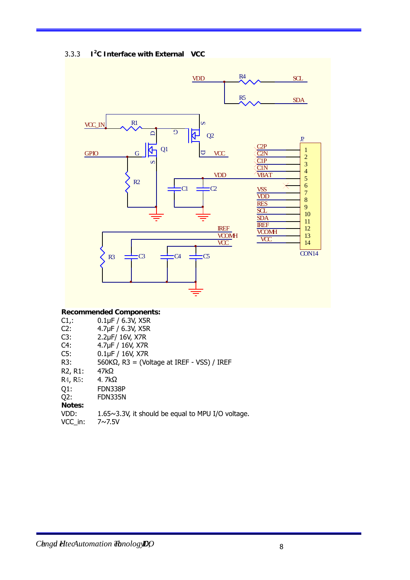#### 3.3.3 **I<sup>2</sup> C Interface with External VCC**



## **Recommended Components:**

| $C1$ .                            | $0.1\mu F / 6.3V$ , X5R                            |
|-----------------------------------|----------------------------------------------------|
| C2:                               | 4.7µF / 6.3V, X5R                                  |
| C3:                               | 2.2µF/ 16V, X7R                                    |
| C4:                               | 4.7µF / 16V, X7R                                   |
| C5:                               | $0.1\,\text{µF}$ / $16\,\text{V}$ , X7R            |
| R3:                               | $560K\Omega$ , R3 = (Voltage at IREF - VSS) / IREF |
| R <sub>2</sub> , R <sub>1</sub> : | 47kΩ                                               |
| R <sub>4</sub> , R <sub>5</sub> : | 4. $7k\Omega$                                      |
| $Q1$ :                            | FDN338P                                            |
| Q2:                               | FDN335N                                            |
| Notes:                            |                                                    |
| VDD:                              | 1.65~3.3V, it should be equal to MPU I/O voltage.  |
| VCC in:                           | $7 \sim 7.5 V$                                     |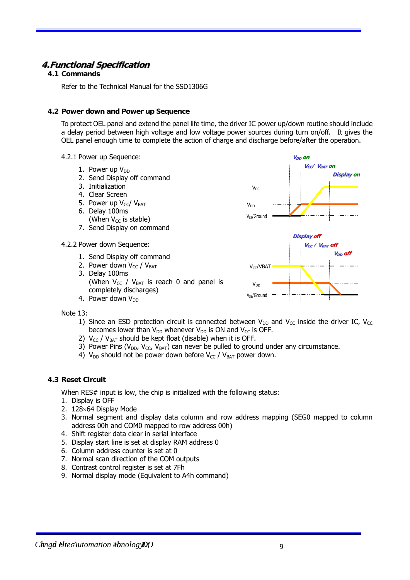# **4.Functional Specification**

# **4.1 Commands**

Refer to the Technical Manual for the SSD1306G

### **4.2 Power down and Power up Sequence**

To protect OEL panel and extend the panel life time, the driver IC power up/down routine should include a delay period between high voltage and low voltage power sources during turn on/off. It gives the OEL panel enough time to complete the action of charge and discharge before/after the operation.

- 4.2.1 Power up Sequence:
	- 1. Power up  $V_{DD}$
	- 2. Send Display off command
	- 3. Initialization
	- 4. Clear Screen
	- 5. Power up  $V_{\text{c}}/V_{\text{BAT}}$ 6. Delay 100ms
	- (When  $V_{CC}$  is stable)
	- 7. Send Display on command
- 4.2.2 Power down Sequence:
	- 1. Send Display off command
	- 2. Power down  $V_{CC} / V_{BAT}$ 3. Delay 100ms (When  $V_{CC}$  /  $V_{BAT}$  is reach 0 and panel is completely discharges) 4. Power down  $V_{DD}$



Note 13:

- 1) Since an ESD protection circuit is connected between  $V_{DD}$  and  $V_{CC}$  inside the driver IC,  $V_{CC}$ becomes lower than  $V_{DD}$  whenever  $V_{DD}$  is ON and  $V_{CC}$  is OFF.
- 2)  $V_{CC}$  /  $V_{BAT}$  should be kept float (disable) when it is OFF.
- 3) Power Pins ( $V_{DD}$ ,  $V_{CC}$ ,  $V_{BAT}$ ) can never be pulled to ground under any circumstance.
- 4)  $V_{DD}$  should not be power down before  $V_{CC}$  /  $V_{BAT}$  power down.

#### **4.3 Reset Circuit**

When RES# input is low, the chip is initialized with the following status:

- 1. Display is OFF
- 2.  $128\times64$  Display Mode
- 3. Normal segment and display data column and row address mapping (SEG0 mapped to column address 00h and COM0 mapped to row address 00h)
- 4. Shift register data clear in serial interface
- 5. Display start line is set at display RAM address 0
- 6. Column address counter is set at 0
- 7. Normal scan direction of the COM outputs
- 8. Contrast control register is set at 7Fh
- 9. Normal display mode (Equivalent to A4h command)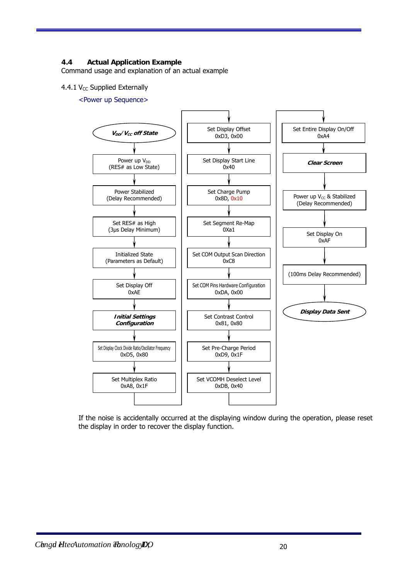# **4.4 Actual Application Example**

Command usage and explanation of an actual example

#### 4.4.1  $V_{CC}$  Supplied Externally

<Power up Sequence>



If the noise is accidentally occurred at the displaying window during the operation, please reset the display in order to recover the display function.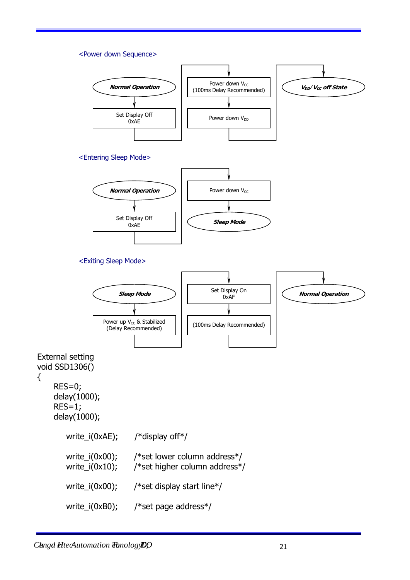#### <Power down Sequence>



#### <Exiting Sleep Mode>



External setting void SSD1306()

{ RES=0;

 delay(1000); RES=1; delay(1000);

| $write_i(0xAE);$                         | /*display off*/                                               |
|------------------------------------------|---------------------------------------------------------------|
| write_i( $0x00$ );<br>write_ $i(0x10)$ ; | /*set lower column address*/<br>/*set higher column address*/ |
| write_ $i(0x00)$ ;                       | /*set display start line*/                                    |
| write_ $i$ (0xB0);                       | /*set page address*/                                          |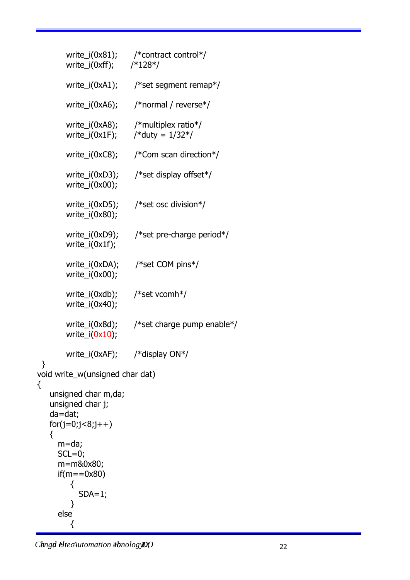| write_i(0xA1);<br>/*set segment remap*/<br>write_i(0xA6);<br>/*normal / reverse*/<br>write_i(0xA8); /*multiplex ratio*/<br>write_i(0x1F); $/*$ duty = $1/32*/$<br>write_i(0xC8);<br>/*Com scan direction*/<br>write_i(0xD3);<br>/*set display offset*/<br>write_ $i(0x00)$ ;<br>write_i(0xD5);<br>/*set osc division*/<br>write_ $i(0x80)$ ;<br>write_i(0xD9);<br>/*set pre-charge period*/<br>write_ $i(0x1f)$ ;<br>write_i(0xDA);<br>/*set COM pins*/<br>write_ $i(0x00)$ ;<br>/*set vcomh*/<br>write_i(0xdb);<br>write_ $i(0x40)$ ;<br>write_i(0x8d);<br>write_i( $0x10$ );<br>write_i(0xAF); /*display $ON*/$<br>void write_w(unsigned char dat)<br>{<br>unsigned char m,da;<br>unsigned char j;<br>$da = dat;$<br>$for(j=0,j<8,j++)$<br>{<br>m=da;<br>$SCL=0;$<br>m=m&0x80;<br>if(m==0x80)<br>{<br>$SDA=1;$<br>}<br>else | write_i(0xff); $/*128*/$ | write_i(0x81); /*contract control*/ |
|-------------------------------------------------------------------------------------------------------------------------------------------------------------------------------------------------------------------------------------------------------------------------------------------------------------------------------------------------------------------------------------------------------------------------------------------------------------------------------------------------------------------------------------------------------------------------------------------------------------------------------------------------------------------------------------------------------------------------------------------------------------------------------------------------------------------------------|--------------------------|-------------------------------------|
|                                                                                                                                                                                                                                                                                                                                                                                                                                                                                                                                                                                                                                                                                                                                                                                                                               |                          |                                     |
|                                                                                                                                                                                                                                                                                                                                                                                                                                                                                                                                                                                                                                                                                                                                                                                                                               |                          |                                     |
|                                                                                                                                                                                                                                                                                                                                                                                                                                                                                                                                                                                                                                                                                                                                                                                                                               |                          |                                     |
|                                                                                                                                                                                                                                                                                                                                                                                                                                                                                                                                                                                                                                                                                                                                                                                                                               |                          |                                     |
|                                                                                                                                                                                                                                                                                                                                                                                                                                                                                                                                                                                                                                                                                                                                                                                                                               |                          |                                     |
|                                                                                                                                                                                                                                                                                                                                                                                                                                                                                                                                                                                                                                                                                                                                                                                                                               |                          |                                     |
|                                                                                                                                                                                                                                                                                                                                                                                                                                                                                                                                                                                                                                                                                                                                                                                                                               |                          |                                     |
|                                                                                                                                                                                                                                                                                                                                                                                                                                                                                                                                                                                                                                                                                                                                                                                                                               |                          |                                     |
|                                                                                                                                                                                                                                                                                                                                                                                                                                                                                                                                                                                                                                                                                                                                                                                                                               |                          |                                     |
|                                                                                                                                                                                                                                                                                                                                                                                                                                                                                                                                                                                                                                                                                                                                                                                                                               |                          | /*set charge pump enable*/          |
|                                                                                                                                                                                                                                                                                                                                                                                                                                                                                                                                                                                                                                                                                                                                                                                                                               |                          |                                     |
|                                                                                                                                                                                                                                                                                                                                                                                                                                                                                                                                                                                                                                                                                                                                                                                                                               |                          |                                     |
|                                                                                                                                                                                                                                                                                                                                                                                                                                                                                                                                                                                                                                                                                                                                                                                                                               |                          |                                     |
|                                                                                                                                                                                                                                                                                                                                                                                                                                                                                                                                                                                                                                                                                                                                                                                                                               |                          |                                     |
|                                                                                                                                                                                                                                                                                                                                                                                                                                                                                                                                                                                                                                                                                                                                                                                                                               |                          |                                     |
|                                                                                                                                                                                                                                                                                                                                                                                                                                                                                                                                                                                                                                                                                                                                                                                                                               |                          |                                     |

*Chengd HtecAutomation Theology DO* 22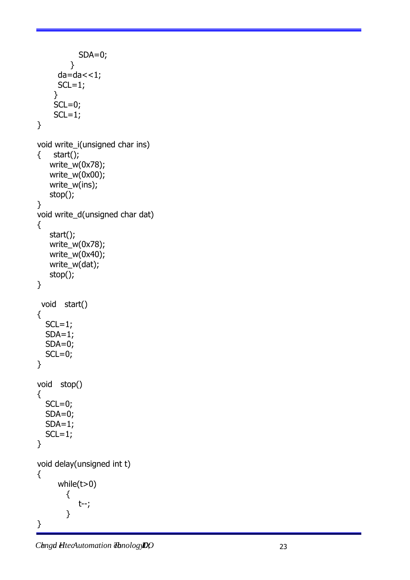```
SDA=0; } 
     da=da < 1;SCL=1; } 
    SCL=0;SCL=1;} 
void write_i(unsigned char ins) 
{ start(); 
    write_w(0x78); 
    write_w(0x00); 
    write_w(ins); 
    stop(); 
} 
void write_d(unsigned char dat) 
{ 
    start(); 
    write_w(0x78); 
   write_w(0x40);
    write_w(dat); 
    stop(); 
} 
  void start() 
{ 
  SCL=1;SDA=1; SDA=0; 
  SCL=0;} 
void stop() 
{ 
  SCL=0; SDA=0; 
  SDA=1;SCL=1;} 
void delay(unsigned int t) 
{ 
      while(t>0) 
         { 
            t--; 
         } 
}
```
*Chengd HecAutomation Theology DO* 23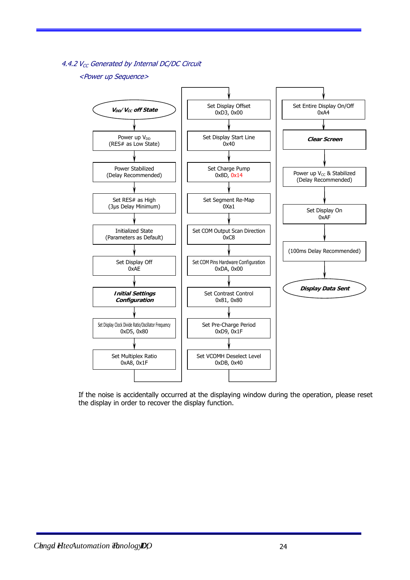4.4.2  $V_{CC}$  Generated by Internal DC/DC Circuit

#### <Power up Sequence>



If the noise is accidentally occurred at the displaying window during the operation, please reset the display in order to recover the display function.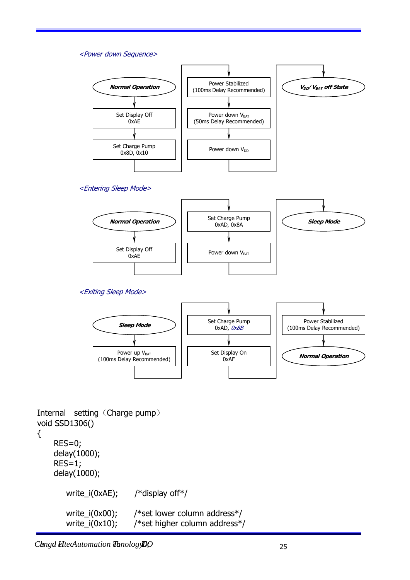#### <Power down Sequence>



#### <Entering Sleep Mode>



<Exiting Sleep Mode>



Internal setting (Charge pump) void SSD1306()

```
{
```
 RES=0; delay(1000); RES=1; delay(1000); write\_i(0xAE); /\*display off\*/ write\_i(0x00); /\*set lower column address\*/ write\_i(0x10); /\*set higher column address\*/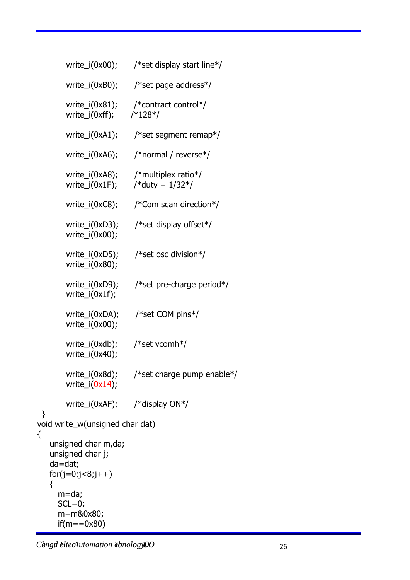|                       |                                                               | write_i(0x00); $\frac{\text{#set display start line*}}{\text{#set}}$      |
|-----------------------|---------------------------------------------------------------|---------------------------------------------------------------------------|
|                       | write_i(0xB0);                                                | /*set page address*/                                                      |
|                       | write_i(0xff); $/*128*/$                                      | write_i(0x81); /*contract control*/                                       |
|                       |                                                               | write_i(0xA1); /*set segment remap*/                                      |
|                       |                                                               | write_i(0xA6); /*normal / reverse*/                                       |
|                       |                                                               | write_i(0xA8); /*multiplex ratio*/<br>write_i(0x1F); $/*$ duty = $1/32*/$ |
|                       |                                                               | write_i(0xC8); $\frac{\sqrt{2}}{2}$ /*Com scan direction*/                |
|                       | write_i(0xD3);<br>write_ $i(0x00)$ ;                          | /*set display offset*/                                                    |
|                       | write_i(0xD5);<br>write_ $i(0x80)$ ;                          | /*set osc division*/                                                      |
|                       | write_i(0xD9);<br>$write_i(0x1f);$                            | /*set pre-charge period*/                                                 |
|                       | $write_i(0x00);$                                              | write_i(0xDA); /*set COM pins*/                                           |
|                       | write_i(0x40);                                                | write_i(0xdb); /*set vcomh*/                                              |
|                       | $write_i(0x8d)$ ;<br>write_ $i(0x14)$ ;                       | /*set charge pump enable*/                                                |
|                       |                                                               | write_i(0xAF); /*display $ON^*/$                                          |
| }                     | void write_w(unsigned char dat)                               |                                                                           |
| {<br>$da = dat;$<br>{ | unsigned char m,da;<br>unsigned char j;<br>$for(j=0,j<8,j++)$ |                                                                           |
| m=da;<br>$SCL=0;$     | m=m&0x80;<br>$if(m = 0x80)$                                   |                                                                           |

*Chengd HtecAutomation Theology DO* 26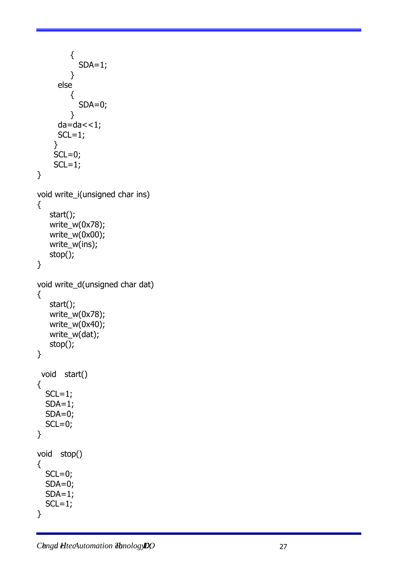```
 { 
            SDA=1;
          } 
       else 
          { 
            SDA=0; } 
      da=da < 1;SCL=1; } 
    SCL=0;SCL=1;} 
void write_i(unsigned char ins) 
{ 
    start(); 
    write_w(0x78); 
    write_w(0x00); 
    write_w(ins); 
    stop(); 
} 
void write_d(unsigned char dat) 
{ 
    start(); 
    write_w(0x78); 
    write_w(0x40); 
    write_w(dat); 
    stop(); 
} 
  void start() 
{ 
  SCL=1;SDA=1; SDA=0; 
  SCL=0;} 
void stop() 
{ 
  SCL=0; SDA=0; 
  SDA=1;
  SCL=1;}
```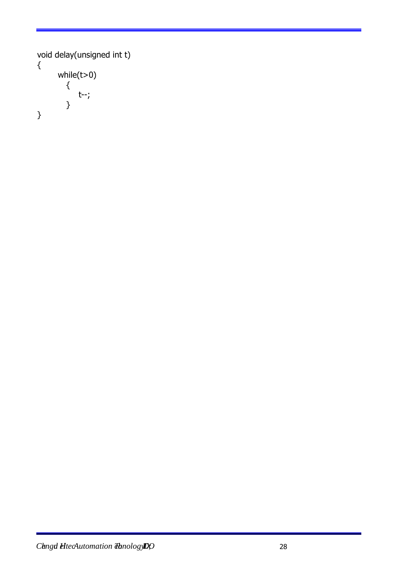```
void delay(unsigned int t) 
{ 
        while(t>0) 
          { 
              t--; 
          } 
}
```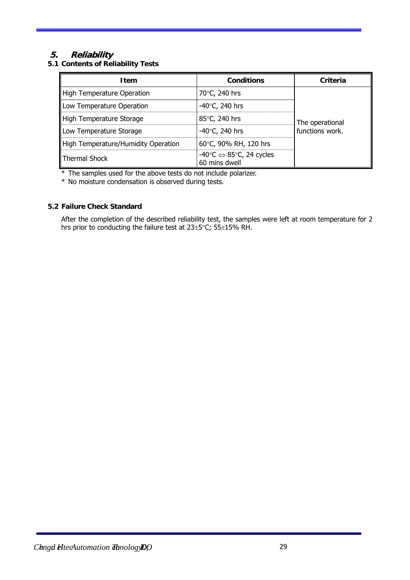# **5. Reliability**

**5.1 Contents of Reliability Tests** 

| <b>Item</b>                         | <b>Conditions</b>                                                       | Criteria                           |
|-------------------------------------|-------------------------------------------------------------------------|------------------------------------|
| High Temperature Operation          | 70°C, 240 hrs                                                           |                                    |
| Low Temperature Operation           | $-40^{\circ}$ C, 240 hrs                                                | The operational<br>functions work. |
| High Temperature Storage            | 85°C, 240 hrs                                                           |                                    |
| Low Temperature Storage             | -40°C, 240 hrs                                                          |                                    |
| High Temperature/Humidity Operation | 60°C, 90% RH, 120 hrs                                                   |                                    |
| Thermal Shock                       | $-40^{\circ}C \Leftrightarrow 85^{\circ}C$ , 24 cycles<br>60 mins dwell |                                    |

\* The samples used for the above tests do not include polarizer.

\* No moisture condensation is observed during tests.

# **5.2 Failure Check Standard**

After the completion of the described reliability test, the samples were left at room temperature for 2 hrs prior to conducting the failure test at  $23\pm5^{\circ}$ C;  $55\pm15\%$  RH.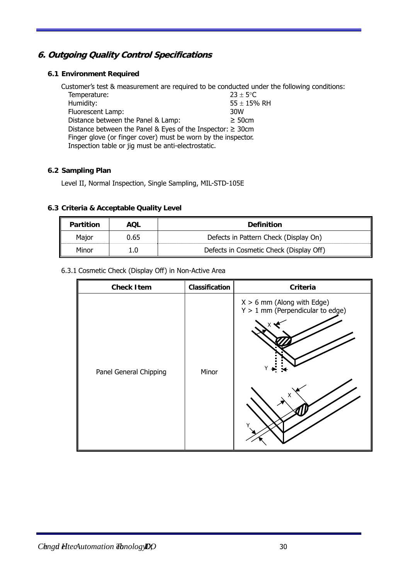# **6. Outgoing Quality Control Specifications**

# **6.1 Environment Required**

Customer's test & measurement are required to be conducted under the following conditions: Temperature:  $23 \pm 5^{\circ}$ C Humidity:  $55 \pm 15%$  RH Fluorescent Lamp:  $55 \pm 15%$  RH Fluorescent Lamp: Distance between the Panel & Lamp:  $\geq 50$ cm Distance between the Panel & Eyes of the Inspector:  $\geq$  30cm Finger glove (or finger cover) must be worn by the inspector. Inspection table or jig must be anti-electrostatic.

# **6.2 Sampling Plan**

Level II, Normal Inspection, Single Sampling, MIL-STD-105E

# **6.3 Criteria & Acceptable Quality Level**

| <b>Partition</b> | AOL  | <b>Definition</b>                       |
|------------------|------|-----------------------------------------|
| Major            | 0.65 | Defects in Pattern Check (Display On)   |
| Minor            | L.O  | Defects in Cosmetic Check (Display Off) |

# 6.3.1 Cosmetic Check (Display Off) in Non-Active Area

| <b>Check Item</b>      | Classification | Criteria                                                                |
|------------------------|----------------|-------------------------------------------------------------------------|
| Panel General Chipping | Minor          | $X > 6$ mm (Along with Edge)<br>$Y > 1$ mm (Perpendicular to edge)<br>Χ |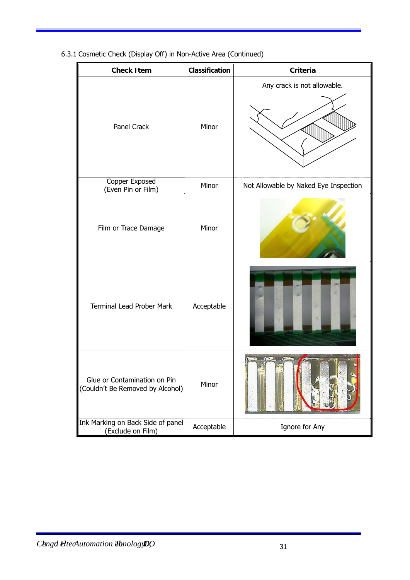| <b>Check Item</b>                                                | Classification | <b>Criteria</b>                       |
|------------------------------------------------------------------|----------------|---------------------------------------|
| Panel Crack                                                      | Minor          | Any crack is not allowable.           |
| Copper Exposed<br>(Even Pin or Film)                             | Minor          | Not Allowable by Naked Eye Inspection |
| Film or Trace Damage                                             | Minor          |                                       |
| <b>Terminal Lead Prober Mark</b>                                 | Acceptable     |                                       |
| Glue or Contamination on Pin<br>(Couldn't Be Removed by Alcohol) | Minor          |                                       |
| Ink Marking on Back Side of panel<br>(Exclude on Film)           | Acceptable     | Ignore for Any                        |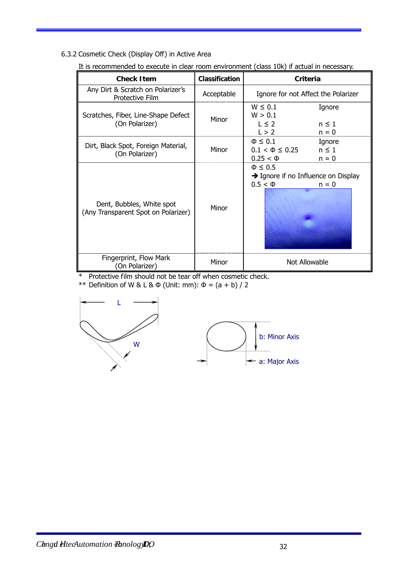6.3.2 Cosmetic Check (Display Off) in Active Area

| <b>Check Item</b>                                                | Classification | Criteria                                                                                      |
|------------------------------------------------------------------|----------------|-----------------------------------------------------------------------------------------------|
| Any Dirt & Scratch on Polarizer's<br><b>Protective Film</b>      | Acceptable     | Ignore for not Affect the Polarizer                                                           |
| Scratches, Fiber, Line-Shape Defect<br>(On Polarizer)            | Minor          | $W \leq 0.1$<br>Ignore<br>W > 0.1<br>$L \leq 2$<br>$n \leq 1$<br>L > 2<br>$n = 0$             |
| Dirt, Black Spot, Foreign Material,<br>(On Polarizer)            | Minor          | $\Phi \leq 0.1$<br>Ignore<br>$0.1 < \Phi \leq 0.25$<br>$n \leq 1$<br>$0.25 < \Phi$<br>$n = 0$ |
| Dent, Bubbles, White spot<br>(Any Transparent Spot on Polarizer) | Minor          | $\Phi \leq 0.5$<br>$\rightarrow$ Ignore if no Influence on Display<br>$0.5 < \Phi$<br>$n = 0$ |
| Fingerprint, Flow Mark<br>(On Polarizer)                         | Minor          | Not Allowable                                                                                 |

It is recommended to execute in clear room environment (class 10k) if actual in necessary.

\* Protective film should not be tear off when cosmetic check.

\*\* Definition of W & L & Φ (Unit: mm): Φ = (a + b) / 2

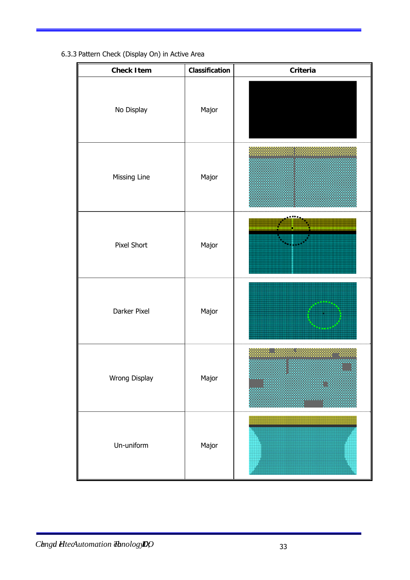| 6.3.3 Pattern Check (Display On) in Active Area |  |  |  |
|-------------------------------------------------|--|--|--|
|-------------------------------------------------|--|--|--|

| <b>Check Item</b> | Classification | Criteria |
|-------------------|----------------|----------|
| No Display        | Major          |          |
| Missing Line      | Major          |          |
| Pixel Short       | Major          |          |
| Darker Pixel      | Major          |          |
| Wrong Display     | Major          |          |
| Un-uniform        | Major          |          |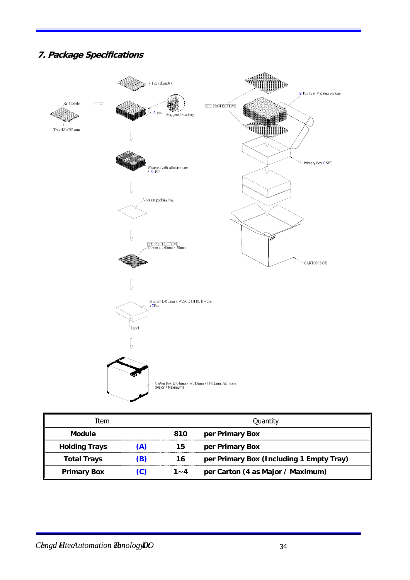# **7. Package Specifications**



| Item                 |     | Quantity |                                          |  |
|----------------------|-----|----------|------------------------------------------|--|
| <b>Module</b>        |     | 810      | per Primary Box                          |  |
| <b>Holding Trays</b> | (A) | 15       | per Primary Box                          |  |
| <b>Total Trays</b>   | (B) | 16       | per Primary Box (Including 1 Empty Tray) |  |
| <b>Primary Box</b>   | (C) | $1 - 4$  | per Carton (4 as Major / Maximum)        |  |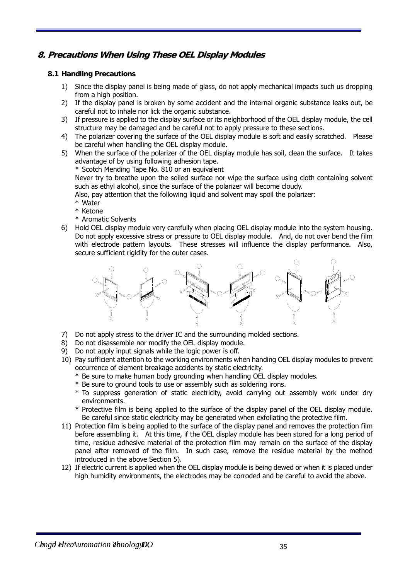# **8. Precautions When Using These OEL Display Modules**

# **8.1 Handling Precautions**

- 1) Since the display panel is being made of glass, do not apply mechanical impacts such us dropping from a high position.
- 2) If the display panel is broken by some accident and the internal organic substance leaks out, be careful not to inhale nor lick the organic substance.
- 3) If pressure is applied to the display surface or its neighborhood of the OEL display module, the cell structure may be damaged and be careful not to apply pressure to these sections.
- 4) The polarizer covering the surface of the OEL display module is soft and easily scratched. Please be careful when handling the OEL display module.
- 5) When the surface of the polarizer of the OEL display module has soil, clean the surface. It takes advantage of by using following adhesion tape.

\* Scotch Mending Tape No. 810 or an equivalent

Never try to breathe upon the soiled surface nor wipe the surface using cloth containing solvent such as ethyl alcohol, since the surface of the polarizer will become cloudy.

Also, pay attention that the following liquid and solvent may spoil the polarizer:

- \* Water
- \* Ketone
- \* Aromatic Solvents
- 6) Hold OEL display module very carefully when placing OEL display module into the system housing. Do not apply excessive stress or pressure to OEL display module. And, do not over bend the film with electrode pattern layouts. These stresses will influence the display performance. Also, secure sufficient rigidity for the outer cases.



- 7) Do not apply stress to the driver IC and the surrounding molded sections.
- 8) Do not disassemble nor modify the OEL display module.
- 9) Do not apply input signals while the logic power is off.
- 10) Pay sufficient attention to the working environments when handing OEL display modules to prevent occurrence of element breakage accidents by static electricity.
	- \* Be sure to make human body grounding when handling OEL display modules.
	- \* Be sure to ground tools to use or assembly such as soldering irons.
	- \* To suppress generation of static electricity, avoid carrying out assembly work under dry environments.
	- \* Protective film is being applied to the surface of the display panel of the OEL display module. Be careful since static electricity may be generated when exfoliating the protective film.
- 11) Protection film is being applied to the surface of the display panel and removes the protection film before assembling it. At this time, if the OEL display module has been stored for a long period of time, residue adhesive material of the protection film may remain on the surface of the display panel after removed of the film. In such case, remove the residue material by the method introduced in the above Section 5).
- 12) If electric current is applied when the OEL display module is being dewed or when it is placed under high humidity environments, the electrodes may be corroded and be careful to avoid the above.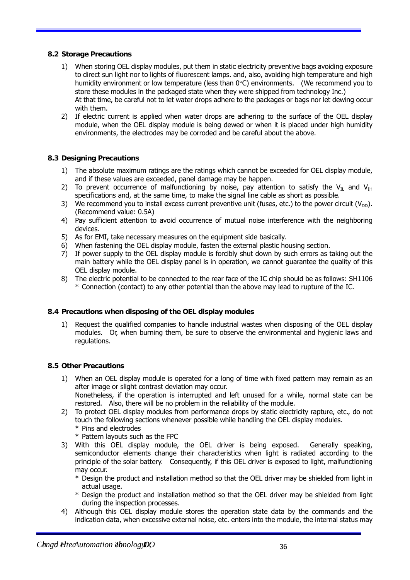# **8.2 Storage Precautions**

- 1) When storing OEL display modules, put them in static electricity preventive bags avoiding exposure to direct sun light nor to lights of fluorescent lamps. and, also, avoiding high temperature and high humidity environment or low temperature (less than  $0^{\circ}$ C) environments. (We recommend you to store these modules in the packaged state when they were shipped from technology Inc.) At that time, be careful not to let water drops adhere to the packages or bags nor let dewing occur with them.
- 2) If electric current is applied when water drops are adhering to the surface of the OEL display module, when the OEL display module is being dewed or when it is placed under high humidity environments, the electrodes may be corroded and be careful about the above.

## **8.3 Designing Precautions**

- 1) The absolute maximum ratings are the ratings which cannot be exceeded for OEL display module, and if these values are exceeded, panel damage may be happen.
- 2) To prevent occurrence of malfunctioning by noise, pay attention to satisfy the V<sub>IL</sub> and V<sub>IH</sub> specifications and, at the same time, to make the signal line cable as short as possible.
- 3) We recommend you to install excess current preventive unit (fuses, etc.) to the power circuit ( $V_{\text{DD}}$ ). (Recommend value: 0.5A)
- 4) Pay sufficient attention to avoid occurrence of mutual noise interference with the neighboring devices.
- 5) As for EMI, take necessary measures on the equipment side basically.
- 6) When fastening the OEL display module, fasten the external plastic housing section.
- 7) If power supply to the OEL display module is forcibly shut down by such errors as taking out the main battery while the OEL display panel is in operation, we cannot guarantee the quality of this OEL display module.
- 8) The electric potential to be connected to the rear face of the IC chip should be as follows: SH1106 \* Connection (contact) to any other potential than the above may lead to rupture of the IC.

#### **8.4 Precautions when disposing of the OEL display modules**

1) Request the qualified companies to handle industrial wastes when disposing of the OEL display modules. Or, when burning them, be sure to observe the environmental and hygienic laws and regulations.

### **8.5 Other Precautions**

- 1) When an OEL display module is operated for a long of time with fixed pattern may remain as an after image or slight contrast deviation may occur. Nonetheless, if the operation is interrupted and left unused for a while, normal state can be
	- restored. Also, there will be no problem in the reliability of the module.
- 2) To protect OEL display modules from performance drops by static electricity rapture, etc., do not touch the following sections whenever possible while handling the OEL display modules. \* Pins and electrodes
	- \* Pattern layouts such as the FPC
- 3) With this OEL display module, the OEL driver is being exposed. Generally speaking, semiconductor elements change their characteristics when light is radiated according to the principle of the solar battery. Consequently, if this OEL driver is exposed to light, malfunctioning may occur.
	- \* Design the product and installation method so that the OEL driver may be shielded from light in actual usage.
	- \* Design the product and installation method so that the OEL driver may be shielded from light during the inspection processes.
- 4) Although this OEL display module stores the operation state data by the commands and the indication data, when excessive external noise, etc. enters into the module, the internal status may